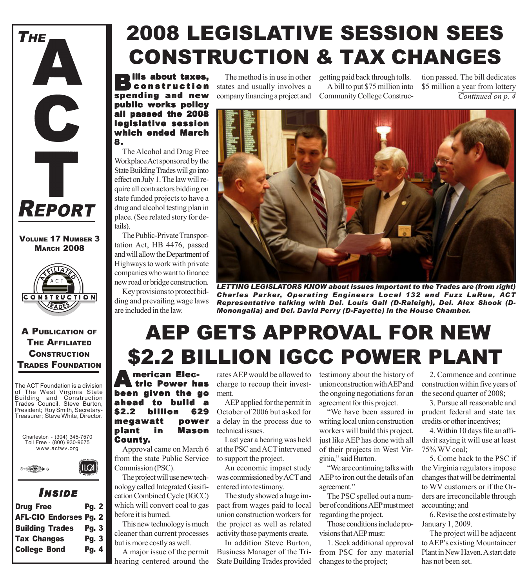

### VOLUME 17 NUMBER 3 **MARCH 2008**



### A PUBLICATION OF THE AFFILIATED **CONSTRUCTION** TRADES FOUNDATION

The ACT Foundation is a division of The West Virginia State Building and Construction Trades Council. Steve Burton, President; Roy Smith, Secretary-Treasurer; Steve White, Director.

Charleston - (304) 345-7570 Toll Free - (800) 930-9675 www.actwv.org



## *I NSIDE*

| <b>Drug Free</b>              | <b>Pg. 2</b> |  |
|-------------------------------|--------------|--|
| <b>AFL-CIO Endorses Pg. 2</b> |              |  |
| <b>Building Trades</b>        | <b>Pg. 3</b> |  |
| <b>Tax Changes</b>            | Pg. 3        |  |
| <b>College Bond</b>           | Pg. 4        |  |
|                               |              |  |

# 2008 LEGISLATIVE SESSION SEES CONSTRUCTION & TAX CHANGES

**Bills about taxes,** constr uction spending and new public works policy all passed the 2008 legislative session which ended March 8.

The Alcohol and Drug Free Workplace Act sponsored by the State Building Trades will go into effect on July 1. The law will require all contractors bidding on state funded projects to have a drug and alcohol testing plan in place. (See related story for details).

The Public-Private Transportation Act, HB 4476, passed and will allow the Department of Highways to work with private companies who want to finance new road or bridge construction.

Key provisions to protect bidding and prevailing wage laws are included in the law.

The method is in use in other states and usually involves a company financing a project and

getting paid back through tolls. A bill to put \$75 million into Community College Construc-

*Continued on p. 4* tion passed. The bill dedicates \$5 million a year from lottery



*LETTING LEGISLATORS KNOW about issues important to the Trades are (from right) Charles Parker, Operating Engineers Local 132 and Fuzz LaRue, ACT Representative talking with Del. Louis Gall (D-Raleigh), Del. Alex Shook (D-Monongalia) and Del. David Perry (D-Fayette) in the House Chamber.*

# AEP GETS APPROVAL FOR NEW \$2.2 BILLION IGCC POWER PLANT

**American Elec-**<br>tric Power has been given the go ahead to build a billion 629 megawatt power plant in Mason County.

Approval came on March 6 from the state Public Service Commission (PSC).

The project will use new technology called Integrated Gasification Combined Cycle (IGCC) which will convert coal to gas before it is burned.

This new technology is much cleaner than current processes but is more costly as well.

A major issue of the permit hearing centered around the

rates AEP would be allowed to charge to recoup their investment.

AEP applied for the permit in October of 2006 but asked for a delay in the process due to technical issues.

Last year a hearing was held at the PSC and ACT intervened to support the project.

An economic impact study was commissioned by ACT and entered into testimony.

The study showed a huge impact from wages paid to local union construction workers for the project as well as related activity those payments create.

In addition Steve Burton, Business Manager of the Tri-State Building Trades provided

testimony about the history of union construction with AEP and the ongoing negotiations for an agreement for this project.

"We have been assured in writing local union construction workers will build this project, just like AEP has done with all of their projects in West Virginia," said Burton.

"We are continuing talks with AEP to iron out the details of an agreement."

The PSC spelled out a number of conditions AEP must meet regarding the project.

Those conditions include provisions that AEP must:

1. Seek additional approval from PSC for any material changes to the project;

2. Commence and continue construction within five years of the second quarter of 2008;

3. Pursue all reasonable and prudent federal and state tax credits or other incentives;

4. Within 10 days file an affidavit saying it will use at least 75% WV coal;

5. Come back to the PSC if the Virginia regulators impose changes that will be detrimental to WV customers or if the Orders are irreconcilable through accounting; and

6. Revise the cost estimate by January 1, 2009.

The project will be adjacent to AEP's existing Mountaineer Plant in New Haven. A start date has not been set.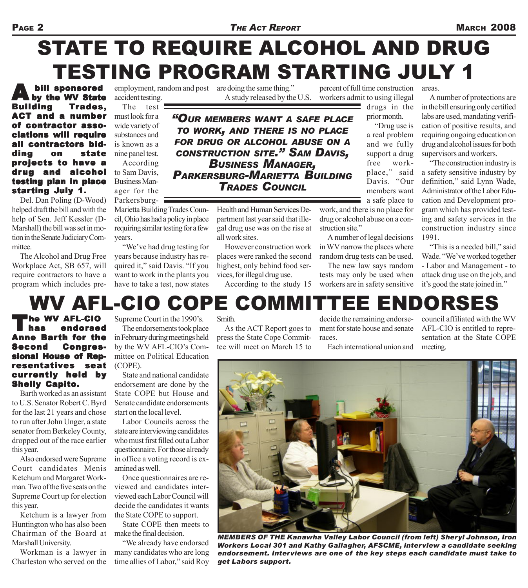### Page 2 *THE ACT REPORT* **MARCH 2008**

# STATE TO REQUIRE ALCOHOL AND DRUG TESTING PROGRAM STARTING JULY 1

**A** bill sponsored<br>
by the WV State Building Trades, ACT and a number of contractor associations will require all contractors bidding on state projects to have a drug and alcohol testing plan in place starting July 1.

Del. Dan Poling (D-Wood) helped draft the bill and with the help of Sen. Jeff Kessler (D-Marshall) the bill was set in motion in the Senate Judiciary Committee.

The Alcohol and Drug Free Workplace Act, SB 657, will require contractors to have a program which includes pre-

accident testing.

ager for the

employment, random and post are doing the same thing."

A study released by the U.S.

percent of full time construction workers admit to using illegal areas.

drugs in the prior month.

"Drug use is a real problem and we fully support a drug free workplace," said Davis. "Our members want a safe place to

work, and there is no place for drug or alcohol abuse on a construction site."

A number of legal decisions in WV narrow the places where random drug tests can be used.

The new law says random tests may only be used when workers are in safety sensitive

A number of protections are in the bill ensuring only certified labs are used, mandating verification of positive results, and requiring ongoing education on drug and alcohol issues for both supervisors and workers.

"The construction industry is a safety sensitive industry by definition," said Lynn Wade, Administrator of the Labor Education and Development program which has provided testing and safety services in the construction industry since 1991.

"This is a needed bill," said Wade. "We've worked together - Labor and Management - to attack drug use on the job, and it's good the state joined in."

#### The test must look for a wide variety of substances and is known as a nine panel test. According to Sam Davis, Business Man-*"OUR MEMBERS WANT A SAFE PLACE TO WORK, AND THERE IS NO PLACE FOR DRUG OR ALCOHOL ABUSE ON A CONSTRUCTION SITE." SAM DAVIS, BUSINESS MANAGER, PARKERSBURG-MARIETTA BUILDING TRADES COUNCIL*

Parkersburg-Marietta Building Trades Council, Ohio has had a policy in place requiring similar testing for a few years.

"We've had drug testing for years because industry has required it," said Davis. "If you want to work in the plants you have to take a test, now states

Health and Human Services Department last year said that illegal drug use was on the rise at all work sites.

However construction work places were ranked the second highest, only behind food services, for illegal drug use.

According to the study 15

WV AFL-CIO COPE COMMITTEE ENDORSES

The WV AFL-CIO has endorsed Anne Barth for the Second Congressional House of Representatives seat cur rently held by **Shelly Capito.** 

Barth worked as an assistant to U.S. Senator Robert C. Byrd for the last 21 years and chose to run after John Unger, a state senator from Berkeley County, dropped out of the race earlier this year.

Also endorsed were Supreme Court candidates Menis Ketchum and Margaret Workman. Two of the five seats on the Supreme Court up for election this year.

Ketchum is a lawyer from Huntington who has also been Chairman of the Board at Marshall University.

Workman is a lawyer in Charleston who served on the

Supreme Court in the 1990's.

The endorsements took place in February during meetings held by the WV AFL-CIO's Committee on Political Education (COPE).

State and national candidate endorsement are done by the State COPE but House and Senate candidate endorsements start on the local level.

Labor Councils across the state are interviewing candidates who must first filled out a Labor questionnaire. For those already in office a voting record is examined as well.

Once questionnaires are reviewed and candidates interviewed each Labor Council will decide the candidates it wants the State COPE to support.

State COPE then meets to make the final decision.

"We already have endorsed many candidates who are long time allies of Labor," said Roy

#### **Smith**

As the ACT Report goes to press the State Cope Committee will meet on March 15 to

decide the remaining endorsement for state house and senate races.

Each international union and

council affiliated with the WV AFL-CIO is entitled to representation at the State COPE meeting.



*MEMBERS OF THE Kanawha Valley Labor Council (from left) Sheryl Johnson, Iron Workers Local 301 and Kathy Gallagher, AFSCME, interview a candidate seeking endorsement. Interviews are one of the key steps each candidate must take to get Labors support.*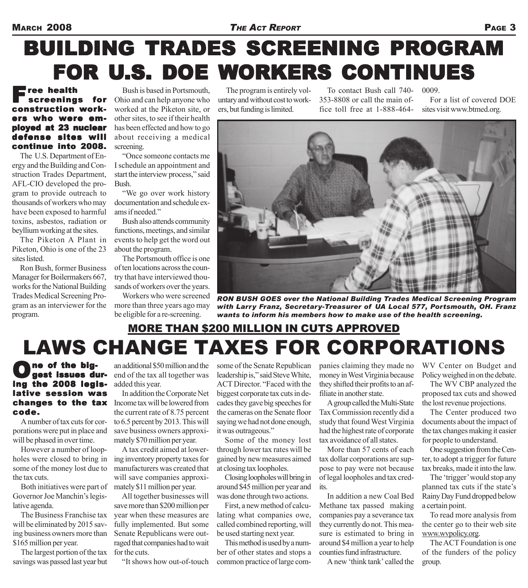### MARCH 2008 *THE ACT REPORT* PAGE 3

# BUILDING TRADES SCREENING PROGRAM FOR U.S. DOE WORKERS CONTINUES

### Free health screenings for construction workers who were employed at 23 nuclear defense sites will continue into 2008.

The U.S. Department of Energy and the Building and Construction Trades Department, AFL-CIO developed the program to provide outreach to thousands of workers who may have been exposed to harmful toxins, asbestos, radiation or beyllium working at the sites.

The Piketon A Plant in Piketon, Ohio is one of the 23 sites listed.

Ron Bush, former Business Manager for Boilermakers 667, works for the National Building Trades Medical Screening Program as an interviewer for the program.

Bush is based in Portsmouth, Ohio and can help anyone who worked at the Piketon site, or other sites, to see if their health has been effected and how to go about receiving a medical screening.

"Once someone contacts me I schedule an appointment and start the interview process," said Bush.

"We go over work history documentation and schedule exams if needed."

Bush also attends community functions, meetings, and similar events to help get the word out about the program.

The Portsmouth office is one of ten locations across the country that have interviewed thousands of workers over the years.

Workers who were screened more than three years ago may be eligible for a re-screening.

The program is entirely voluntary and without cost to workers, but funding is limited.

To contact Bush call 740- 353-8808 or call the main office toll free at 1-888-464- 0009.

For a list of covered DOE sites visit www.btmed.org.



*RON BUSH GOES over the National Building Trades Medical Screening Program with Larry Franz, Secretary-Treasurer of UA Local 577, Portsmouth, OH. Franz wants to inform his members how to make use of the health screening.*

# LAWS CHANGE TAXES FOR CORPORATIONS MORE THAN \$200 MILLION IN CUTS APPROVED

# One of the big-<br>line the 0000 hadiing the 2008 legislative session was code.

A number of tax cuts for corporations were put in place and will be phased in over time.

However a number of loopholes were closed to bring in some of the money lost due to the tax cuts.

Both initiatives were part of Governor Joe Manchin's legislative agenda.

The Business Franchise tax will be eliminated by 2015 saving business owners more than \$165 million per year.

The largest portion of the tax savings was passed last year but

an additional \$50 million and the end of the tax all together was added this year.

changes to the tax Income tax will be lowered from In addition the Corporate Net the current rate of 8.75 percent to 6.5 percent by 2013. This will save business owners approximately \$70 million per year.

> A tax credit aimed at lowering inventory property taxes for manufacturers was created that will save companies approximately \$11 million per year.

> All together businesses will save more than \$200 million per year when these measures are fully implemented. But some Senate Republicans were outraged that companies had to wait for the cuts.

"It shows how out-of-touch

some of the Senate Republican leadership is," said Steve White, ACT Director. "Faced with the biggest corporate tax cuts in decades they gave big speeches for the cameras on the Senate floor saying we had not done enough, it was outrageous."

Some of the money lost through lower tax rates will be gained by new measures aimed at closing tax loopholes.

Closing loopholes will bring in around \$45 million per year and was done through two actions.

First, a new method of calculating what companies owe, called combined reporting, will be used starting next year.

This method is used by a number of other states and stops a common practice of large companies claiming they made no money in West Virginia because they shifted their profits to an affiliate in another state

A group called the Multi-State Tax Commission recently did a study that found West Virginia had the highest rate of corporate tax avoidance of all states.

More than 57 cents of each tax dollar corporations are suppose to pay were not because of legal loopholes and tax credits.

In addition a new Coal Bed Methane tax passed making companies pay a severance tax they currently do not. This measure is estimated to bring in around \$4 million a year to help counties fund infrastructure.

A new 'think tank' called the

WV Center on Budget and Policy weighed in on the debate.

The WV CBP analyzed the proposed tax cuts and showed the lost revenue projections.

The Center produced two documents about the impact of the tax changes making it easier for people to understand.

One suggestion from the Center, to adopt a trigger for future tax breaks, made it into the law.

The 'trigger' would stop any planned tax cuts if the state's Rainy Day Fund dropped below a certain point.

To read more analysis from the center go to their web site www.wvpolicy.org.

The ACT Foundation is one of the funders of the policy group.